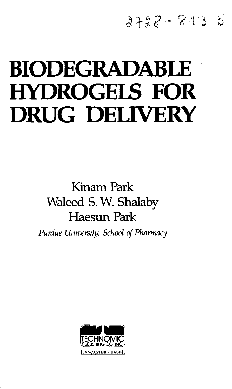## $2728 - 813$

## **BIODEGRADABLE HYDROGELS FOR DRUG DELIVERY**

## Kinam Park Waleed S. W. Shalaby Haesun Park

*Purdue University, School of Pharmacy*

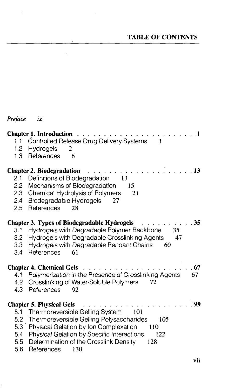## TABLE OF CONTENTS

| Preface                                 | ix                                                                                                                                                                             |
|-----------------------------------------|--------------------------------------------------------------------------------------------------------------------------------------------------------------------------------|
| 1.1<br>1.2<br>1.3                       | <b>Chapter 1. Introduction</b><br>1<br>Controlled Release Drug Delivery Systems<br>1<br>Hydrogels<br>2<br>References<br>6                                                      |
|                                         | <b>Chapter 2. Biodegradation</b><br>13                                                                                                                                         |
| 2.1<br>$2.2\,$<br>2.3<br>2.4<br>$2.5\,$ | Definitions of Biodegradation<br>13<br>Mechanisms of Biodegradation<br>15<br><b>Chemical Hydrolysis of Polymers</b><br>21<br>Biodegradable Hydrogels<br>27<br>References<br>28 |
|                                         | 35<br><b>Chapter 3. Types of Biodegradable Hydrogels</b>                                                                                                                       |
| 3.1                                     | Hydrogels with Degradable Polymer Backbone<br>35                                                                                                                               |
| 3.2<br>3.3                              | Hydrogels with Degradable Crosslinking Agents<br>47<br>Hydrogels with Degradable Pendant Chains<br>60                                                                          |
| 3.4                                     | References<br>61                                                                                                                                                               |
|                                         | .67<br><b>Chapter 4. Chemical Gels</b>                                                                                                                                         |
| 4.1                                     | Polymerization in the Presence of Crosslinking Agents<br>67                                                                                                                    |
| 4.2<br>4.3                              | Crosslinking of Water-Soluble Polymers<br>72<br>References<br>92                                                                                                               |
|                                         |                                                                                                                                                                                |
|                                         | 99<br><b>Chapter 5. Physical Gels</b>                                                                                                                                          |
| 5.1                                     | Thermoreversible Gelling System<br>101                                                                                                                                         |
| 5.2                                     | Thermoreversible Gelling Polysaccharides<br>105                                                                                                                                |
| 5.3<br>5.4                              | Physical Gelation by Ion Complexation<br>110<br>Physical Gelation by Specific Interactions<br>122                                                                              |
| 5.5                                     | Determination of the Crosslink Density<br>128                                                                                                                                  |
| 5.6                                     | References<br>130                                                                                                                                                              |

 $\sim 10^{-1}$ 

 $\bar{a}$ 

 $\zeta_{\rm c}$ 

 $\sim$